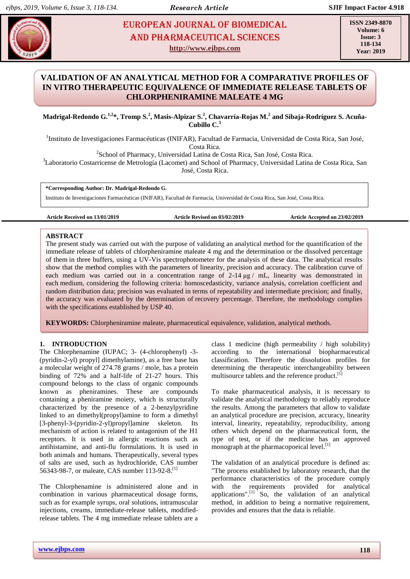# **Madridae <b>EUROPEAN JOURNAL OF BIOMEDICAL** And Pharmaceutical Sciences AND Pharmaceutical sciences **http://www.ejbps.com**

**ISSN 2349-8870 Volume: 6 Issue: 3 118-134 Year: 2019**

# **VALIDATION OF AN ANALYTICAL METHOD FOR A COMPARATIVE PROFILES OF IN VITRO THERAPEUTIC EQUIVALENCE OF IMMEDIATE RELEASE TABLETS OF CHLORPHENIRAMINE MALEATE 4 MG**

**Madrigal-Redondo G.1,2\*, Tromp S.<sup>2</sup> , Masis-Alpizar S.<sup>2</sup> , Chavarría-Rojas M.<sup>2</sup> and Sibaja-Rodríguez S. Acuña-Cubillo C. 3**

<sup>1</sup>Instituto de Investigaciones Farmacéuticas (INIFAR), Facultad de Farmacia, Universidad de Costa Rica, San José, Costa Rica.

<sup>2</sup>School of Pharmacy, Universidad Latina de Costa Rica, San José, Costa Rica.

<sup>3</sup>Laboratorio Costarricense de Metrología (Lacomet) and School of Pharmacy, Universidad Latina de Costa Rica, San José, Costa Rica.

**\*Corresponding Author: Dr. Madrigal-Redondo G.**

Instituto de Investigaciones Farmacéuticas (INIFAR), Facultad de Farmacia, Universidad de Costa Rica, San José, Costa Rica.

**Article Received on 13/01/2019 Article Revised on 03/02/2019 Article Accepted on 23/02/2019**

#### **ABSTRACT**

The present study was carried out with the purpose of validating an analytical method for the quantification of the immediate release of tablets of chlorpheniramine maleate 4 mg and the determination or the dissolved percentage of them in three buffers, using a UV-Vis spectrophotometer for the analysis of these data. The analytical results show that the method complies with the parameters of linearity, precision and accuracy. The calibration curve of each medium was carried out in a concentration range of  $2-14 \mu g / mL$ , linearity was demonstrated in each medium, considering the following criteria: homoscedasticity, variance analysis, correlation coefficient and random distribution data; precision was evaluated in terms of repeatability and intermediate precision; and finally, the accuracy was evaluated by the determination of recovery percentage. Therefore, the methodology complies with the specifications established by USP 40.

**KEYWORDS:** Chlorpheniramine maleate, pharmaceutical equivalence, validation, analytical methods.

# **1. INTRODUCTION**

The Chlorphenamine (IUPAC; 3- (4-chlorophenyl) -3- (pyridin-2-yl) propyl] dimethylamine), as a free base has a molecular weight of 274.78 grams / mole, has a protein binding of 72% and a half-life of 21-27 hours. This compound belongs to the class of organic compounds known as pheniramines. These are compounds containing a pheniramine moiety, which is structurally characterized by the presence of a 2-benzylpyridine linked to an dimethyl(propyl)amine to form a dimethyl [3-phenyl-3-(pyridin-2-yl)propyl]amine skeleton. Its mechanism of action is related to antagonism of the H1 receptors. It is used in allergic reactions such as antihistamine, and anti-flu formulations. It is used in both animals and humans. Therapeutically, several types of salts are used, such as hydrochloride, CAS number 56343-98-7, or maleate, CAS number 113-92-8.<sup>[1]</sup>

The Chlorphenamine is administered alone and in combination in various pharmaceutical dosage forms, such as for example syrups, oral solutions, intramuscular injections, creams, immediate-release tablets, modifiedrelease tablets. The 4 mg immediate release tablets are a class 1 medicine (high permeability / high solubility) according to the international biopharmaceutical classification. Therefore the dissolution profiles for determining the therapeutic interchangeability between multisource tablets and the reference product.<sup>[1]</sup>

To make pharmaceutical analysis, it is necessary to validate the analytical methodology to reliably reproduce the results. Among the parameters that allow to validate an analytical procedure are precision, accuracy, linearity interval, linearity, repeatability, reproducibility, among others which depend on the pharmaceutical form, the type of test, or if the medicine has an approved monograph at the pharmacopoeical level.<sup>[1]</sup>

The validation of an analytical procedure is defined as: "The process established by laboratory research, that the performance characteristics of the procedure comply with the requirements provided for analytical applications". $\begin{bmatrix} 1 \end{bmatrix}$  So, the validation of an analytical method, in addition to being a normative requirement, provides and ensures that the data is reliable.

**www.ejbps.com**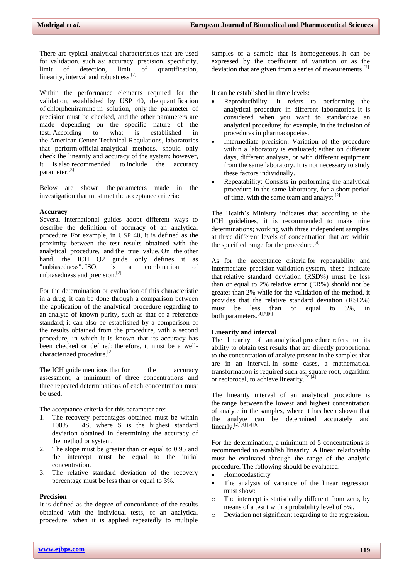There are typical analytical characteristics that are used for validation, such as: accuracy, precision, specificity, limit of detection, limit of quantification, linearity, interval and robustness.<sup>[2]</sup>

Within the performance elements required for the validation, established by USP 40, the quantification of chlorpheniramine in solution, only the parameter of precision must be checked, and the other parameters are made depending on the specific nature of the test. According to what is established in the American Center Technical Regulations, laboratories that perform official analytical methods, should only check the linearity and accuracy of the system; however, it is also recommended to include the accuracy parameter.[3]

Below are shown the parameters made in the investigation that must met the acceptance criteria:

#### **Accuracy**

Several international guides adopt different ways to describe the definition of accuracy of an analytical procedure. For example, in USP 40, it is defined as the proximity between the test results obtained with the analytical procedure, and the true value. On the other hand, the ICH Q2 guide only defines it as "unbiasedness". ISO, is a combination of unbiasedness and precision.[2]

For the determination or evaluation of this characteristic in a drug, it can be done through a comparison between the application of the analytical procedure regarding to an analyte of known purity, such as that of a reference standard; it can also be established by a comparison of the results obtained from the procedure, with a second procedure, in which it is known that its accuracy has been checked or defined; therefore, it must be a wellcharacterized procedure.<sup>[2]</sup>

The ICH guide mentions that for the accuracy assessment, a minimum of three concentrations and three repeated determinations of each concentration must be used.

The acceptance criteria for this parameter are:

- 1. The recovery percentages obtained must be within  $100\% \pm 4S$ , where S is the highest standard deviation obtained in determining the accuracy of the method or system.
- 2. The slope must be greater than or equal to 0.95 and the intercept must be equal to the initial concentration.
- 3. The relative standard deviation of the recovery percentage must be less than or equal to 3%.

# **Precision**

It is defined as the degree of concordance of the results obtained with the individual tests, of an analytical procedure, when it is applied repeatedly to multiple

samples of a sample that is homogeneous. It can be expressed by the coefficient of variation or as the deviation that are given from a series of measurements.<sup>[2]</sup>

It can be established in three levels:

- Reproducibility: It refers to performing the analytical procedure in different laboratories. It is considered when you want to standardize an analytical procedure; for example, in the inclusion of procedures in pharmacopoeias.
- Intermediate precision: Variation of the procedure within a laboratory is evaluated; either on different days, different analysts, or with different equipment from the same laboratory. It is not necessary to study these factors individually.
- Repeatability: Consists in performing the analytical procedure in the same laboratory, for a short period of time, with the same team and analyst. $[2]$

The Health's Ministry indicates that according to the ICH guidelines, it is recommended to make nine determinations; working with three independent samples, at three different levels of concentration that are within the specified range for the procedure. $[4]$ 

As for the acceptance criteria for repeatability and intermediate precision validation system, these indicate that relative standard deviation (RSD%) must be less than or equal to 2% relative error (ER%) should not be greater than 2% while for the validation of the method, it provides that the relative standard deviation (RSD%) must be less than or equal to 3%, in both parameters.<sup>[4][5][6]</sup>

#### **Linearity and interval**

The linearity of an analytical procedure refers to its ability to obtain test results that are directly proportional to the concentration of analyte present in the samples that are in an interval. In some cases, a mathematical transformation is required such as: square root, logarithm or reciprocal, to achieve linearity.<sup>[2] [4]</sup>

The linearity interval of an analytical procedure is the range between the lowest and highest concentration of analyte in the samples, where it has been shown that the analyte can be determined accurately and linearly.<sup>[2] [4] [5] [6]</sup>

For the determination, a minimum of 5 concentrations is recommended to establish linearity. A linear relationship must be evaluated through the range of the analytic procedure. The following should be evaluated:

- Homocedasticity
- The analysis of variance of the linear regression must show:
- o The intercept is statistically different from zero, by means of a test t with a probability level of 5%.
- Deviation not significant regarding to the regression.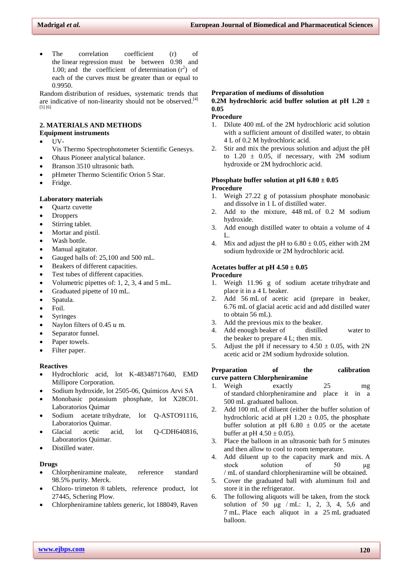The correlation coefficient (r) of the linear regression must be between 0.98 and 1.00; and the coefficient of determination  $(r^2)$  of each of the curves must be greater than or equal to 0.9950.

Random distribution of residues, systematic trends that are indicative of non-linearity should not be observed.<sup>[4]</sup> [5] [6]

# **2. MATERIALS AND METHODS**

# **Equipment instruments**

- UV-
- Vis Thermo Spectrophotometer Scientific Genesys.
- Ohaus Pioneer analytical balance.
- Branson 3510 ultrasonic bath.
- pHmeter Thermo Scientific Orion 5 Star.
- Fridge.

# **Laboratory materials**

- Quartz cuvette
- **Droppers**
- Stirring tablet.
- Mortar and pistil.
- Wash bottle.
- Manual agitator.
- Gauged balls of: 25,100 and 500 mL.
- Beakers of different capacities.
- Test tubes of different capacities.
- Volumetric pipettes of: 1, 2, 3, 4 and 5 mL.
- Graduated pipette of 10 mL.
- Spatula.
- Foil.
- Syringes
- Naylon filters of 0.45  $u$  m.
- Separator funnel.
- Paper towels.
- Filter paper.

#### **Reactives**

- Hydrochloric acid, lot K-48348717640, EMD Millipore Corporation.
- Sodium hydroxide, lot 2505-06, Químicos Arvi SA
- Monobasic potassium phosphate, lot X28C01. Laboratorios Quimar
- Sodium acetate trihydrate, lot Q-ASTO91116, Laboratorios Quimar.
- Glacial acetic acid, lot Q-CDH640816, Laboratorios Quimar.
- Distilled water.

# **Drugs**

- Chlorpheniramine maleate, reference standard 98.5% purity. Merck.
- Chloro- trimeton ® tablets, reference product, lot 27445, Schering Plow.
- Chlorpheniramine tablets generic, lot 188049, Raven

#### **Preparation of mediums of dissolution**

# **0.2M hydrochloric acid buffer solution at pH 1.20 ± 0.05**

# **Procedure**

- 1. Dilute 400 mL of the 2M hydrochloric acid solution with a sufficient amount of distilled water, to obtain 4 L of 0.2 M hydrochloric acid.
- 2. Stir and mix the previous solution and adjust the pH to  $1.20 \pm 0.05$ , if necessary, with 2M sodium hydroxide or 2M hydrochloric acid.

#### **Phosphate buffer solution at pH 6.80 ± 0.05 Procedure**

- 1. Weigh 27.22 g of potassium phosphate monobasic and dissolve in 1 L of distilled water.
- 2. Add to the mixture, 448 mL of 0.2 M sodium hydroxide.
- 3. Add enough distilled water to obtain a volume of 4 L.
- 4. Mix and adjust the pH to  $6.80 \pm 0.05$ , either with 2M sodium hydroxide or 2M hydrochloric acid.

# Acetates buffer at pH  $4.50 \pm 0.05$

#### **Procedure**

- 1. Weigh 11.96 g of sodium acetate trihydrate and place it in a 4 L beaker.
- 2. Add 56 mL of acetic acid (prepare in beaker, 6.76 mL of glacial acetic acid and add distilled water to obtain 56 mL).
- 3. Add the previous mix to the beaker.
- 4. Add enough beaker of distilled water to the beaker to prepare 4 L; then mix.
- 5. Adjust the pH if necessary to  $4.50 \pm 0.05$ , with 2N acetic acid or 2M sodium hydroxide solution.

### **Preparation** of the calibration **curve pattern Chlorpheniramine**

- 1. Weigh exactly 25 mg of standard chlorpheniramine and place it in a 500 mL graduated balloon.
- 2. Add 100 mL of diluent (either the buffer solution of hydrochloric acid at pH  $1.20 \pm 0.05$ , the phosphate buffer solution at pH  $6.80 \pm 0.05$  or the acetate buffer at pH  $4.50 \pm 0.05$ ).
- 3. Place the balloon in an ultrasonic bath for 5 minutes and then allow to cool to room temperature.
- 4. Add diluent up to the capacity mark and mix. A stock solution of 50 μg / mL of standard chlorpheniramine will be obtained.
- 5. Cover the graduated ball with aluminum foil and store it in the refrigerator.
- 6. The following aliquots will be taken, from the stock solution of 50 μg / mL: 1, 2, 3, 4, 5,6 and 7 mL. Place each aliquot in a 25 mL graduated balloon.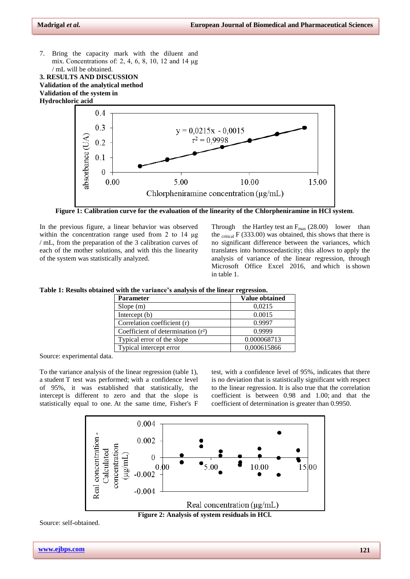7. Bring the capacity mark with the diluent and mix. Concentrations of: 2, 4, 6, 8, 10, 12 and 14 μg / mL will be obtained.

**3. RESULTS AND DISCUSSION Validation of the analytical method Validation of the system in Hydrochloric acid**



**Figure 1: Calibration curve for the evaluation of the linearity of the Chlorpheniramine in HCl system**.

In the previous figure, a linear behavior was observed within the concentration range used from 2 to 14 μg / mL, from the preparation of the 3 calibration curves of each of the mother solutions, and with this the linearity of the system was statistically analyzed.

Through the Hartley test an  $F_{\text{max}}$  (28.00) lower than the  $_{critical}$  F (333.00) was obtained, this shows that there is no significant difference between the variances, which translates into homoscedasticity; this allows to apply the analysis of variance of the linear regression, through Microsoft Office Excel 2016, and which is shown in table 1.

|  |  |  |  |  | Table 1: Results obtained with the variance's analysis of the linear regression. |  |
|--|--|--|--|--|----------------------------------------------------------------------------------|--|
|  |  |  |  |  |                                                                                  |  |

| <b>Parameter</b>                     | Value obtained |
|--------------------------------------|----------------|
| Slope $(m)$                          | 0,0215         |
| Intercept $(b)$                      | 0.0015         |
| Correlation coefficient (r)          | 0.9997         |
| Coefficient of determination $(r^2)$ | 0.9999         |
| Typical error of the slope           | 0.000068713    |
| Typical intercept error              | 0,000615866    |

Source: experimental data.

To the variance analysis of the linear regression (table 1), a student T test was performed; with a confidence level of 95%, it was established that statistically, the intercept is different to zero and that the slope is statistically equal to one. At the same time, Fisher's F

test, with a confidence level of 95%, indicates that there is no deviation that is statistically significant with respect to the linear regression. It is also true that the correlation coefficient is between 0.98 and 1.00; and that the coefficient of determination is greater than 0.9950.



**Figure 2: Analysis of system residuals in HCl.**

Source: self-obtained.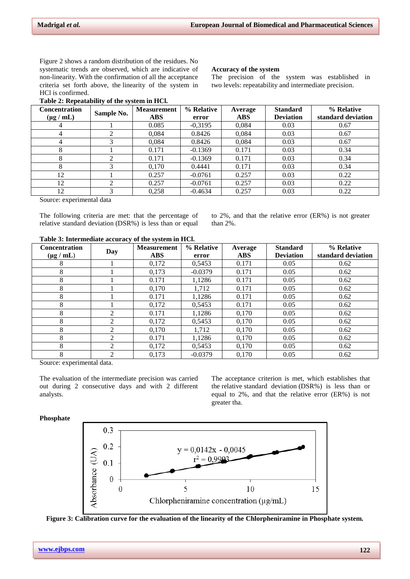The precision of the system was established in two levels: repeatability and intermediate precision.

**Accuracy of the system**

Figure 2 shows a random distribution of the residues. No systematic trends are observed, which are indicative of non-linearity. With the confirmation of all the acceptance criteria set forth above, the linearity of the system in HCl is confirmed.

# **Table 2: Repeatability of the system in HCl.**

| <b>Concentration</b> | $\overline{\phantom{a}}$<br>Sample No. | <b>Measurement</b> | % Relative | Average    | <b>Standard</b>  | % Relative         |  |
|----------------------|----------------------------------------|--------------------|------------|------------|------------------|--------------------|--|
| $(\mu g / mL)$       |                                        | <b>ABS</b>         | error      | <b>ABS</b> | <b>Deviation</b> | standard deviation |  |
| 4                    |                                        | 0.085              | $-0,3195$  | 0,084      | 0.03             | 0.67               |  |
| 4                    |                                        | 0.084              | 0.8426     | 0.084      | 0.03             | 0.67               |  |
|                      |                                        | 0.084              | 0.8426     | 0.084      | 0.03             | 0.67               |  |
| 8                    |                                        | 0.171              | $-0.1369$  | 0.171      | 0.03             | 0.34               |  |
| 8                    |                                        | 0.171              | $-0.1369$  | 0.171      | 0.03             | 0.34               |  |
| 8                    |                                        | 0.170              | 0.4441     | 0.171      | 0.03             | 0.34               |  |
| 12                   |                                        | 0.257              | $-0.0761$  | 0.257      | 0.03             | 0.22               |  |
| 12                   | ◠                                      | 0.257              | $-0.0761$  | 0.257      | 0.03             | 0.22               |  |
| 12                   |                                        | 0,258              | $-0.4634$  | 0.257      | 0.03             | 0.22               |  |

Source: experimental data

The following criteria are met: that the percentage of relative standard deviation (DSR%) is less than or equal to 2%, and that the relative error (ER%) is not greater than 2%.

#### **Table 3: Intermediate accuracy of the system in HCl.**

| <b>Concentration</b> |                             | <b>Measurement</b> | % Relative | Average    | <b>Standard</b>  | % Relative         |  |
|----------------------|-----------------------------|--------------------|------------|------------|------------------|--------------------|--|
| $(\mu g / mL)$       | Day                         | <b>ABS</b>         | error      | <b>ABS</b> | <b>Deviation</b> | standard deviation |  |
| 8                    |                             | 0,172              | 0.5453     | 0.171      | 0.05             | 0.62               |  |
| 8                    |                             | 0.173              | $-0.0379$  | 0.171      | 0.05             | 0.62               |  |
| 8                    |                             | 0.171              | 1.1286     | 0.171      | 0.05             | 0.62               |  |
| 8                    |                             | 0.170              | 1.712      | 0.171      | 0.05             | 0.62               |  |
| 8                    |                             | 0.171              | 1,1286     | 0.171      | 0.05             | 0.62               |  |
| 8                    |                             | 0,172              | 0.5453     | 0.171      | 0.05             | 0.62               |  |
| 8                    | $\overline{2}$              | 0.171              | 1.1286     | 0.170      | 0.05             | 0.62               |  |
| 8                    | ↑                           | 0.172              | 0.5453     | 0.170      | 0.05             | 0.62               |  |
| 8                    | $\mathcal{D}_{\mathcal{L}}$ | 0.170              | 1.712      | 0.170      | 0.05             | 0.62               |  |
| 8                    | $\mathfrak{D}$              | 0.171              | 1.1286     | 0.170      | 0.05             | 0.62               |  |
| 8                    | $\mathfrak{D}$              | 0,172              | 0,5453     | 0.170      | 0.05             | 0.62               |  |
| 8                    | $\mathfrak{D}$              | 0.173              | $-0.0379$  | 0.170      | 0.05             | 0.62               |  |

Source: experimental data.

The evaluation of the intermediate precision was carried out during 2 consecutive days and with 2 different analysts.

The acceptance criterion is met, which establishes that the relative standard deviation (DSR%) is less than or equal to 2%, and that the relative error (ER%) is not greater tha.

#### **Phosphate**



**Figure 3: Calibration curve for the evaluation of the linearity of the Chlorpheniramine in Phosphate system.**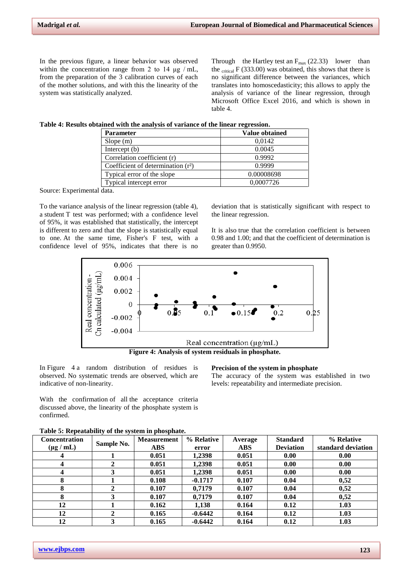In the previous figure, a linear behavior was observed within the concentration range from 2 to 14  $\mu$ g / mL, from the preparation of the 3 calibration curves of each of the mother solutions, and with this the linearity of the system was statistically analyzed.

Through the Hartley test an  $F_{\text{max}}$  (22.33) lower than the  $_{critical}$  F (333.00) was obtained, this shows that there is no significant difference between the variances, which translates into homoscedasticity; this allows to apply the analysis of variance of the linear regression, through Microsoft Office Excel 2016, and which is shown in table 4.

**Table 4: Results obtained with the analysis of variance of the linear regression.**

| <b>Parameter</b>                     | Value obtained |
|--------------------------------------|----------------|
| Slope(m)                             | 0,0142         |
| Intercept $(b)$                      | 0.0045         |
| Correlation coefficient (r)          | 0.9992         |
| Coefficient of determination $(r^2)$ | 0.9999         |
| Typical error of the slope           | 0.00008698     |
| Typical intercept error              | 0.0007726      |

Source: Experimental data.

To the variance analysis of the linear regression (table 4), a student T test was performed; with a confidence level of 95%, it was established that statistically, the intercept is different to zero and that the slope is statistically equal to one. At the same time, Fisher's F test, with a confidence level of 95%, indicates that there is no

deviation that is statistically significant with respect to the linear regression.

It is also true that the correlation coefficient is between 0.98 and 1.00; and that the coefficient of determination is greater than 0.9950.



**Figure 4: Analysis of system residuals in phosphate.**

In Figure 4 a random distribution of residues is observed. No systematic trends are observed, which are indicative of non-linearity.

**Precision of the system in phosphate**

The accuracy of the system was established in two levels: repeatability and intermediate precision.

With the confirmation of all the acceptance criteria discussed above, the linearity of the phosphate system is confirmed.

| <b>Concentration</b> |            | <b>Measurement</b> | % Relative | Average    | <b>Standard</b>  | % Relative         |
|----------------------|------------|--------------------|------------|------------|------------------|--------------------|
| $(\mu g / mL)$       | Sample No. | <b>ABS</b>         | error      | <b>ABS</b> | <b>Deviation</b> | standard deviation |
| 4                    |            | 0.051              | 1,2398     | 0.051      | 0.00             | 0.00               |
| 4                    |            | 0.051              | 1,2398     | 0.051      | 0.00             | 0.00               |
| 4                    |            | 0.051              | 1.2398     | 0.051      | 0.00             | 0.00               |
| 8                    |            | 0.108              | $-0.1717$  | 0.107      | 0.04             | 0,52               |
| 8                    |            | 0.107              | 0.7179     | 0.107      | 0.04             | 0,52               |
| 8                    |            | 0.107              | 0.7179     | 0.107      | 0.04             | 0,52               |
| 12                   |            | 0.162              | 1,138      | 0.164      | 0.12             | 1.03               |
| 12                   |            | 0.165              | $-0.6442$  | 0.164      | 0.12             | 1.03               |
| 12                   | 3          | 0.165              | $-0.6442$  | 0.164      | 0.12             | 1.03               |

**Table 5: Repeatability of the system in phosphate.**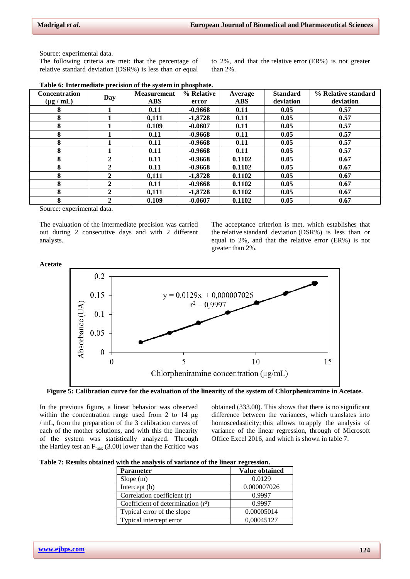Source: experimental data.

The following criteria are met: that the percentage of relative standard deviation (DSR%) is less than or equal to 2%, and that the relative error (ER%) is not greater than 2%.

| <b>Concentration</b> |              | <b>Measurement</b>  | % Relative | Average    | <b>Standard</b> | % Relative standard |
|----------------------|--------------|---------------------|------------|------------|-----------------|---------------------|
| $(\mu g / mL)$       | Day          | <b>ABS</b><br>error |            | <b>ABS</b> | deviation       | deviation           |
| 8                    |              | 0.11                | $-0.9668$  | 0.11       | 0.05            | 0.57                |
| 8                    |              | 0.111               | $-1.8728$  | 0.11       | 0.05            | 0.57                |
| 8                    |              | 0.109               | $-0.0607$  | 0.11       | 0.05            | 0.57                |
| 8                    |              | 0.11                | $-0.9668$  | 0.11       | 0.05            | 0.57                |
| 8                    |              | 0.11                | $-0.9668$  | 0.11       | 0.05            | 0.57                |
| 8                    |              | 0.11                | $-0.9668$  | 0.11       | 0.05            | 0.57                |
| 8                    | 2            | 0.11                | $-0.9668$  | 0.1102     | 0.05            | 0.67                |
| 8                    | 2            | 0.11                | $-0.9668$  | 0.1102     | 0.05            | 0.67                |
| 8                    | $\mathbf{2}$ | 0,111               | $-1.8728$  | 0.1102     | 0.05            | 0.67                |
| 8                    | 2            | 0.11                | $-0.9668$  | 0.1102     | 0.05            | 0.67                |
| 8                    | 2            | 0,111               | $-1,8728$  | 0.1102     | 0.05            | 0.67                |
| 8                    | 2            | 0.109               | $-0.0607$  | 0.1102     | 0.05            | 0.67                |

Source: experimental data.

The evaluation of the intermediate precision was carried out during 2 consecutive days and with 2 different analysts.

The acceptance criterion is met, which establishes that the relative standard deviation (DSR%) is less than or equal to 2%, and that the relative error (ER%) is not greater than 2%.



**Figure 5: Calibration curve for the evaluation of the linearity of the system of Chlorpheniramine in Acetate.**

In the previous figure, a linear behavior was observed within the concentration range used from 2 to 14 μg / mL, from the preparation of the 3 calibration curves of each of the mother solutions, and with this the linearity of the system was statistically analyzed. Through the Hartley test an  $F_{\text{max}}$  (3.00) lower than the Fcrítico was

obtained (333.00). This shows that there is no significant difference between the variances, which translates into homoscedasticity; this allows to apply the analysis of variance of the linear regression, through of Microsoft Office Excel 2016, and which is shown in table 7.

|  | Table 7: Results obtained with the analysis of variance of the linear regression. |  |  |  |  |  |
|--|-----------------------------------------------------------------------------------|--|--|--|--|--|
|  |                                                                                   |  |  |  |  |  |

| <b>Parameter</b>                     | <b>Value obtained</b> |
|--------------------------------------|-----------------------|
| Slope(m)                             | 0.0129                |
| Intercept (b)                        | 0.000007026           |
| Correlation coefficient (r)          | 0.9997                |
| Coefficient of determination $(r^2)$ | 0.9997                |
| Typical error of the slope           | 0.00005014            |
| Typical intercept error              | 0,00045127            |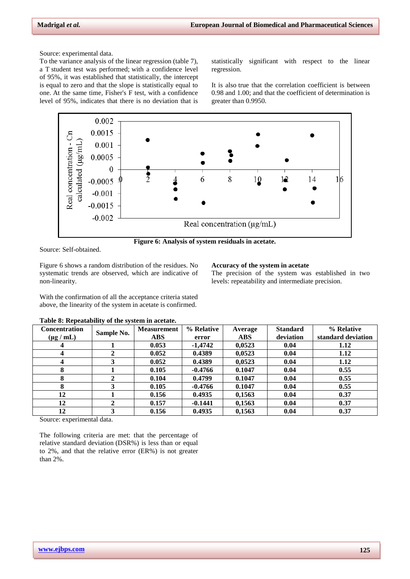Source: experimental data.

To the variance analysis of the linear regression (table 7), a T student test was performed; with a confidence level of 95%, it was established that statistically, the intercept is equal to zero and that the slope is statistically equal to one. At the same time, Fisher's F test, with a confidence level of 95%, indicates that there is no deviation that is

statistically significant with respect to the linear regression.

It is also true that the correlation coefficient is between 0.98 and 1.00; and that the coefficient of determination is greater than 0.9950.





Source: Self-obtained.

Figure 6 shows a random distribution of the residues. No systematic trends are observed, which are indicative of non-linearity.

## **Accuracy of the system in acetate**

The precision of the system was established in two levels: repeatability and intermediate precision.

With the confirmation of all the acceptance criteria stated above, the linearity of the system in acetate is confirmed.

| <b>Concentration</b> | Sample No. | <b>Measurement</b> | % Relative | Average    | <b>Standard</b> | % Relative         |
|----------------------|------------|--------------------|------------|------------|-----------------|--------------------|
| $(\mu g / mL)$       |            | <b>ABS</b>         | error      | <b>ABS</b> | deviation       | standard deviation |
|                      |            | 0.053              | $-1.4742$  | 0.0523     | 0.04            | 1.12               |
| 4                    |            | 0.052              | 0.4389     | 0,0523     | 0.04            | 1.12               |
| 4                    |            | 0.052              | 0.4389     | 0,0523     | 0.04            | 1.12               |
| 8                    |            | 0.105              | $-0.4766$  | 0.1047     | 0.04            | 0.55               |
| 8                    |            | 0.104              | 0.4799     | 0.1047     | 0.04            | 0.55               |
| 8                    |            | 0.105              | $-0.4766$  | 0.1047     | 0.04            | 0.55               |
| 12                   |            | 0.156              | 0.4935     | 0,1563     | 0.04            | 0.37               |
| 12                   |            | 0.157              | $-0.1441$  | 0,1563     | 0.04            | 0.37               |
| 12                   |            | 0.156              | 0.4935     | 0,1563     | 0.04            | 0.37               |

#### **Table 8: Repeatability of the system in acetate.**

Source: experimental data.

The following criteria are met: that the percentage of relative standard deviation (DSR%) is less than or equal to 2%, and that the relative error (ER%) is not greater than 2%.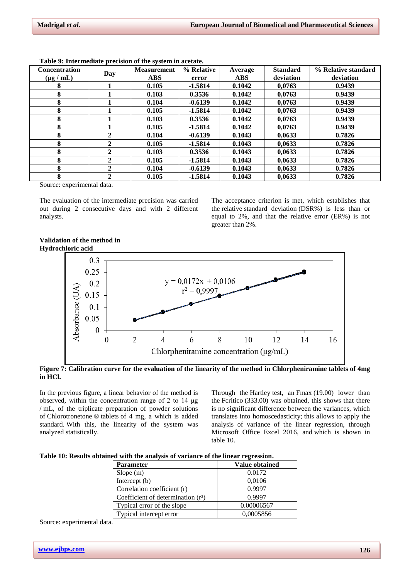| <b>Concentration</b> |     | <b>Measurement</b> | % Relative | Average    | <b>Standard</b> | % Relative standard |
|----------------------|-----|--------------------|------------|------------|-----------------|---------------------|
| $(\mu g / mL)$       | Day | <b>ABS</b>         | error      | <b>ABS</b> | deviation       | deviation           |
| 8                    |     | 0.105              | $-1.5814$  | 0.1042     | 0.0763          | 0.9439              |
| 8                    |     | 0.103              | 0.3536     | 0.1042     | 0.0763          | 0.9439              |
| 8                    |     | 0.104              | $-0.6139$  | 0.1042     | 0.0763          | 0.9439              |
| 8                    |     | 0.105              | $-1.5814$  | 0.1042     | 0.0763          | 0.9439              |
| 8                    |     | 0.103              | 0.3536     | 0.1042     | 0.0763          | 0.9439              |
| 8                    |     | 0.105              | $-1.5814$  | 0.1042     | 0.0763          | 0.9439              |
| 8                    | 2   | 0.104              | $-0.6139$  | 0.1043     | 0.0633          | 0.7826              |
| 8                    | 2   | 0.105              | $-1.5814$  | 0.1043     | 0.0633          | 0.7826              |
| 8                    | 2   | 0.103              | 0.3536     | 0.1043     | 0.0633          | 0.7826              |
| 8                    | 2   | 0.105              | $-1.5814$  | 0.1043     | 0,0633          | 0.7826              |
| 8                    | 2   | 0.104              | $-0.6139$  | 0.1043     | 0,0633          | 0.7826              |
| 8                    | 2   | 0.105              | $-1.5814$  | 0.1043     | 0.0633          | 0.7826              |

**Table 9: Intermediate precision of the system in acetate.**

Source: experimental data.

The evaluation of the intermediate precision was carried out during 2 consecutive days and with 2 different analysts.

The acceptance criterion is met, which establishes that the relative standard deviation (DSR%) is less than or equal to 2%, and that the relative error (ER%) is not greater than 2%.

## **Validation of the method in Hydrochloric acid**



**Figure 7: Calibration curve for the evaluation of the linearity of the method in Chlorpheniramine tablets of 4mg in HCl.**

In the previous figure, a linear behavior of the method is observed, within the concentration range of 2 to 14 μg / mL, of the triplicate preparation of powder solutions of Chlorotronetone ® tablets of 4 mg, a which is added standard. With this, the linearity of the system was analyzed statistically.

Through the Hartley test, an Fmax (19.00) lower than the Fcrítico (333.00) was obtained, this shows that there is no significant difference between the variances, which translates into homoscedasticity; this allows to apply the analysis of variance of the linear regression, through Microsoft Office Excel 2016, and which is shown in table 10.

| Table 10: Results obtained with the analysis of variance of the linear regression. |  |  |  |  |  |  |  |
|------------------------------------------------------------------------------------|--|--|--|--|--|--|--|
|------------------------------------------------------------------------------------|--|--|--|--|--|--|--|

| <b>Parameter</b>                     | Value obtained |
|--------------------------------------|----------------|
| Slope(m)                             | 0.0172         |
| Intercept (b)                        | 0,0106         |
| Correlation coefficient (r)          | 0.9997         |
| Coefficient of determination $(r^2)$ | 0.9997         |
| Typical error of the slope           | 0.00006567     |
| Typical intercept error              | 0,0005856      |

Source: experimental data.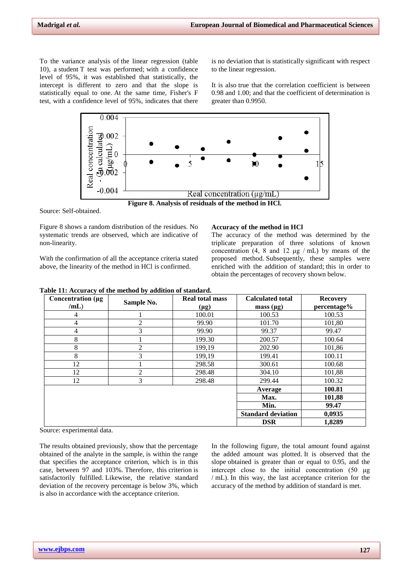To the variance analysis of the linear regression (table 10), a student T test was performed; with a confidence level of 95%, it was established that statistically, the intercept is different to zero and that the slope is statistically equal to one. At the same time, Fisher's F test, with a confidence level of 95%, indicates that there is no deviation that is statistically significant with respect to the linear regression.

It is also true that the correlation coefficient is between 0.98 and 1.00; and that the coefficient of determination is greater than 0.9950.



Source: Self-obtained.

Figure 8 shows a random distribution of the residues. No systematic trends are observed, which are indicative of non-linearity.

With the confirmation of all the acceptance criteria stated above, the linearity of the method in HCl is confirmed.

#### **Accuracy of the method in HCl**

The accuracy of the method was determined by the triplicate preparation of three solutions of known concentration  $(4, 8 \text{ and } 12 \text{ µg} / \text{mL})$  by means of the proposed method. Subsequently, these samples were enriched with the addition of standard; this in order to obtain the percentages of recovery shown below.

|  |  | Table 11: Accuracy of the method by addition of standard. |
|--|--|-----------------------------------------------------------|
|--|--|-----------------------------------------------------------|

| Concentration (µg | Sample No.     | <b>Real total mass</b> | <b>Calculated total</b>   | <b>Recovery</b> |
|-------------------|----------------|------------------------|---------------------------|-----------------|
| /mL)              |                | $(\mu g)$              | mass $(\mu g)$            | percentage%     |
| 4                 |                | 100.01                 | 100.53                    | 100.53          |
| 4                 | 2              | 99.90                  | 101.70                    | 101,80          |
| 4                 | 3              | 99.90                  | 99.37                     | 99.47           |
| 8                 |                | 199.30                 | 200.57                    | 100.64          |
| 8                 | $\overline{c}$ | 199,19                 | 202.90                    | 101,86          |
| 8                 | 3              | 199,19                 | 199.41                    | 100.11          |
| 12                |                | 298.58                 | 300.61                    | 100.68          |
| 12                | 2              | 298.48                 | 304.10                    | 101,88          |
| 12                | 3              | 298.48                 | 299.44                    | 100.32          |
|                   |                |                        | Average                   | 100.81          |
|                   |                |                        | Max.                      | 101,88          |
|                   |                |                        | Min.                      | 99.47           |
|                   |                |                        | <b>Standard deviation</b> | 0,0935          |
|                   |                |                        | <b>DSR</b>                | 1,8289          |

Source: experimental data.

The results obtained previously, show that the percentage obtained of the analyte in the sample, is within the range that specifies the acceptance criterion, which is in this case, between 97 and 103%. Therefore, this criterion is satisfactorily fulfilled. Likewise, the relative standard deviation of the recovery percentage is below 3%, which is also in accordance with the acceptance criterion.

In the following figure, the total amount found against the added amount was plotted. It is observed that the slope obtained is greater than or equal to 0.95, and the intercept close to the initial concentration (50 μg / mL). In this way, the last acceptance criterion for the accuracy of the method by addition of standard is met.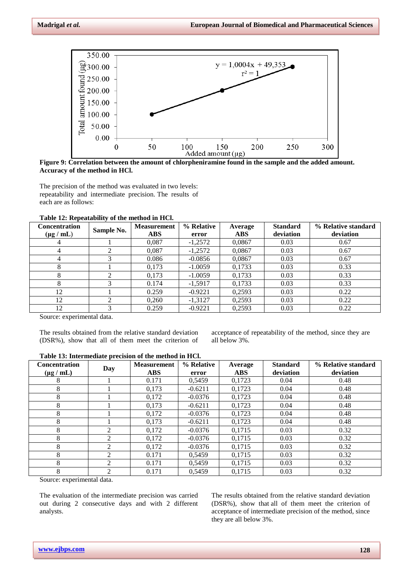

**Figure 9: Correlation between the amount of chlorpheniramine found in the sample and the added amount. Accuracy of the method in HCl.**

The precision of the method was evaluated in two levels: repeatability and intermediate precision. The results of each are as follows:

| Table 12: Repeatability of the method in HCl. |
|-----------------------------------------------|
|-----------------------------------------------|

| <b>Concentration</b> |            | <b>Measurement</b> | % Relative | Average    | <b>Standard</b> | % Relative standard |
|----------------------|------------|--------------------|------------|------------|-----------------|---------------------|
| $(\mu g / mL)$       | Sample No. | <b>ABS</b>         | error      | <b>ABS</b> | deviation       | deviation           |
| 4                    |            | 0.087              | $-1,2572$  | 0.0867     | 0.03            | 0.67                |
| 4                    | ◠          | 0.087              | $-1,2572$  | 0,0867     | 0.03            | 0.67                |
| 4                    |            | 0.086              | $-0.0856$  | 0,0867     | 0.03            | 0.67                |
| 8                    |            | 0.173              | $-1.0059$  | 0.1733     | 0.03            | 0.33                |
| 8                    | ◠          | 0,173              | $-1.0059$  | 0,1733     | 0.03            | 0.33                |
| 8                    |            | 0.174              | $-1.5917$  | 0,1733     | 0.03            | 0.33                |
| 12                   |            | 0.259              | $-0.9221$  | 0,2593     | 0.03            | 0.22                |
| 12                   | ◠          | 0,260              | $-1,3127$  | 0,2593     | 0.03            | 0.22                |
| 12                   |            | 0.259              | $-0.9221$  | 0,2593     | 0.03            | 0.22                |

Source: experimental data.

The results obtained from the relative standard deviation (DSR%), show that all of them meet the criterion of acceptance of repeatability of the method, since they are all below 3%.

| <b>Concentration</b><br>$(\mu g / mL)$ | Day | <b>Measurement</b><br><b>ABS</b> | % Relative<br>error | Average<br><b>ABS</b> | <b>Standard</b><br>deviation | % Relative standard<br>deviation |
|----------------------------------------|-----|----------------------------------|---------------------|-----------------------|------------------------------|----------------------------------|
| 8                                      |     | 0.171                            | 0.5459              | 0,1723                | 0.04                         | 0.48                             |
| 8                                      |     | 0.173                            | $-0.6211$           | 0.1723                | 0.04                         | 0.48                             |
| 8                                      |     | 0.172                            | $-0.0376$           | 0,1723                | 0.04                         | 0.48                             |
| 8                                      |     | 0.173                            | $-0.6211$           | 0,1723                | 0.04                         | 0.48                             |
| 8                                      |     | 0,172                            | $-0.0376$           | 0.1723                | 0.04                         | 0.48                             |
| 8                                      |     | 0.173                            | $-0.6211$           | 0,1723                | 0.04                         | 0.48                             |
| 8                                      | 2   | 0,172                            | $-0.0376$           | 0,1715                | 0.03                         | 0.32                             |
| 8                                      | ↑   | 0,172                            | $-0.0376$           | 0.1715                | 0.03                         | 0.32                             |
| 8                                      | ∍   | 0.172                            | $-0.0376$           | 0,1715                | 0.03                         | 0.32                             |
| 8                                      | 2   | 0.171                            | 0.5459              | 0,1715                | 0.03                         | 0.32                             |
| 8                                      | ↑   | 0.171                            | 0.5459              | 0.1715                | 0.03                         | 0.32                             |
| 8                                      | C   | 0.171                            | 0.5459              | 0.1715                | 0.03                         | 0.32                             |

**Table 13: Intermediate precision of the method in HCl.**

Source: experimental data.

The evaluation of the intermediate precision was carried out during 2 consecutive days and with 2 different analysts.

The results obtained from the relative standard deviation (DSR%), show that all of them meet the criterion of acceptance of intermediate precision of the method, since they are all below 3%.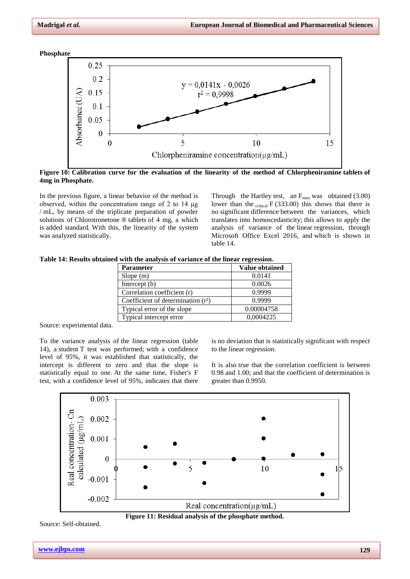**Phosphate**



**Figure 10: Calibration curve for the evaluation of the linearity of the method of Chlorpheniramine tablets of 4mg in Phosphate.**

In the previous figure, a linear behavior of the method is observed, within the concentration range of 2 to 14 μg / mL, by means of the triplicate preparation of powder solutions of Chlorotronetone ® tablets of 4 mg, a which is added standard. With this, the linearity of the system was analyzed statistically.

Through the Hartley test, an  $F_{\text{max}}$  was obtained (3.00) lower than the  $_{critical} F (333.00)$  this shows that there is no significant difference between the variances, which translates into homoscedasticity; this allows to apply the analysis of variance of the linear regression, through Microsoft Office Excel 2016, and which is shown in table 14.

|  |  |  |  | Table 14: Results obtained with the analysis of variance of the linear regression. |  |  |
|--|--|--|--|------------------------------------------------------------------------------------|--|--|
|  |  |  |  |                                                                                    |  |  |

| <b>Parameter</b>                     | <b>Value obtained</b> |
|--------------------------------------|-----------------------|
| Slope(m)                             | 0.0141                |
| Intercept $(b)$                      | 0.0026                |
| Correlation coefficient (r)          | 0.9999                |
| Coefficient of determination $(r^2)$ | 0.9999                |
| Typical error of the slope           | 0.00004758            |
| Typical intercept error              | 0.0004225             |

Source: experimental data.

To the variance analysis of the linear regression (table 14), a student T test was performed; with a confidence level of 95%, it was established that statistically, the intercept is different to zero and that the slope is statistically equal to one. At the same time, Fisher's F test, with a confidence level of 95%, indicates that there

is no deviation that is statistically significant with respect to the linear regression.

It is also true that the correlation coefficient is between 0.98 and 1.00; and that the coefficient of determination is greater than 0.9950.





Source: Self-obtained.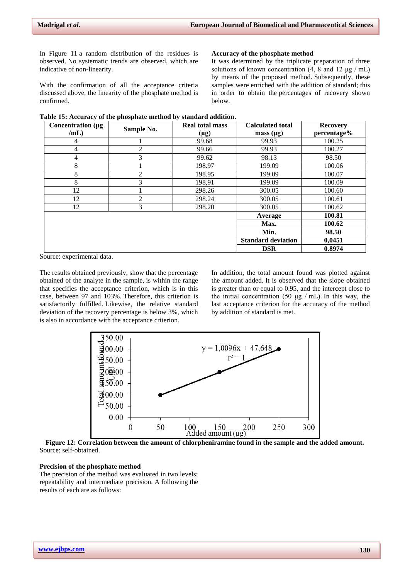In Figure 11 a random distribution of the residues is observed. No systematic trends are observed, which are indicative of non-linearity.

With the confirmation of all the acceptance criteria discussed above, the linearity of the phosphate method is confirmed.

#### **Accuracy of the phosphate method**

It was determined by the triplicate preparation of three solutions of known concentration  $(4, 8 \text{ and } 12 \text{ µg} / \text{mL})$ by means of the proposed method. Subsequently, these samples were enriched with the addition of standard; this in order to obtain the percentages of recovery shown below.

|  |  |  | Table 15: Accuracy of the phosphate method by standard addition. |
|--|--|--|------------------------------------------------------------------|
|  |  |  |                                                                  |

| Concentration (µg |            | <b>Real total mass</b> | <b>Calculated total</b>   | <b>Recovery</b> |
|-------------------|------------|------------------------|---------------------------|-----------------|
| /mL)              | Sample No. | $(\mu g)$              | mass $(\mu g)$            | percentage%     |
| 4                 |            | 99.68                  | 99.93                     | 100.25          |
| 4                 | 2          | 99.66                  | 99.93                     | 100.27          |
| 4                 | 3          | 99.62                  | 98.13                     | 98.50           |
| 8                 |            | 198.97                 | 199.09                    | 100.06          |
| 8                 | 2          | 198.95                 | 199.09                    | 100.07          |
| 8                 | 3          | 198,91                 | 199.09                    | 100.09          |
| 12                |            | 298.26                 | 300.05                    | 100.60          |
| 12                | 2          | 298.24                 | 300.05                    | 100.61          |
| 12                | 3          | 298.20                 | 300.05                    | 100.62          |
|                   |            |                        | Average                   | 100.81          |
|                   |            |                        | Max.                      | 100.62          |
|                   |            |                        | Min.                      | 98.50           |
|                   |            |                        | <b>Standard deviation</b> | 0,0451          |
|                   |            |                        | <b>DSR</b>                | 0.8974          |

Source: experimental data.

The results obtained previously, show that the percentage obtained of the analyte in the sample, is within the range that specifies the acceptance criterion, which is in this case, between 97 and 103%. Therefore, this criterion is satisfactorily fulfilled. Likewise, the relative standard deviation of the recovery percentage is below 3%, which is also in accordance with the acceptance criterion.

In addition, the total amount found was plotted against the amount added. It is observed that the slope obtained is greater than or equal to 0.95, and the intercept close to the initial concentration (50  $\mu$ g / mL). In this way, the last acceptance criterion for the accuracy of the method by addition of standard is met.



**Figure 12: Correlation between the amount of chlorpheniramine found in the sample and the added amount.** Source: self-obtained.

# **Precision of the phosphate method**

The precision of the method was evaluated in two levels: repeatability and intermediate precision. A following the results of each are as follows: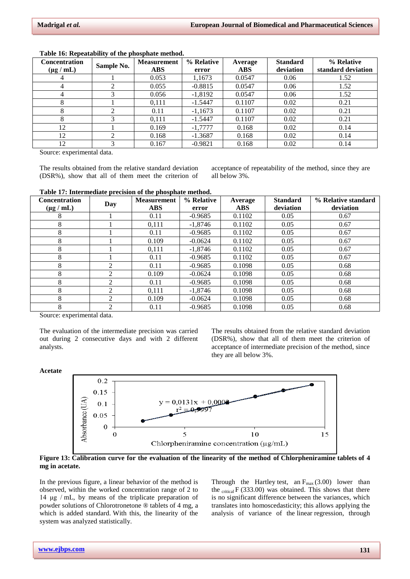| <b>Concentration</b> | Sample No. | <b>Measurement</b> | % Relative | Average    | <b>Standard</b> | % Relative         |
|----------------------|------------|--------------------|------------|------------|-----------------|--------------------|
| $(\mu g / mL)$       |            | <b>ABS</b>         | error      | <b>ABS</b> | deviation       | standard deviation |
| 4                    |            | 0.053              | 1.1673     | 0.0547     | 0.06            | 1.52               |
|                      |            | 0.055              | $-0.8815$  | 0.0547     | 0.06            | 1.52               |
| 4                    |            | 0.056              | $-1,8192$  | 0.0547     | 0.06            | 1.52               |
| 8                    |            | 0,111              | $-1.5447$  | 0.1107     | 0.02            | 0.21               |
| x                    |            | 0.11               | $-1,1673$  | 0.1107     | 0.02            | 0.21               |
| 8                    |            | 0.111              | $-1.5447$  | 0.1107     | 0.02            | 0.21               |
| 12                   |            | 0.169              | $-1,7777$  | 0.168      | 0.02            | 0.14               |
| 12                   |            | 0.168              | $-1.3687$  | 0.168      | 0.02            | 0.14               |
| 12                   |            | 0.167              | $-0.9821$  | 0.168      | 0.02            | 0.14               |

#### **Table 16: Repeatability of the phosphate method.**

Source: experimental data.

The results obtained from the relative standard deviation (DSR%), show that all of them meet the criterion of acceptance of repeatability of the method, since they are all below 3%.

#### **Table 17: Intermediate precision of the phosphate method.**

| <b>Concentration</b> | Day            | <b>Measurement</b> | % Relative | Average    | <b>Standard</b> | % Relative standard |
|----------------------|----------------|--------------------|------------|------------|-----------------|---------------------|
| $(\mu g / mL)$       |                | <b>ABS</b>         | error      | <b>ABS</b> | deviation       | deviation           |
| 8                    |                | 0.11               | $-0.9685$  | 0.1102     | 0.05            | 0.67                |
| 8                    |                | 0.111              | $-1.8746$  | 0.1102     | 0.05            | 0.67                |
| 8                    |                | 0.11               | $-0.9685$  | 0.1102     | 0.05            | 0.67                |
| 8                    |                | 0.109              | $-0.0624$  | 0.1102     | 0.05            | 0.67                |
| 8                    |                | 0.111              | $-1.8746$  | 0.1102     | 0.05            | 0.67                |
| 8                    |                | 0.11               | $-0.9685$  | 0.1102     | 0.05            | 0.67                |
| 8                    | ◠              | 0.11               | $-0.9685$  | 0.1098     | 0.05            | 0.68                |
| 8                    | $\mathfrak{D}$ | 0.109              | $-0.0624$  | 0.1098     | 0.05            | 0.68                |
| 8                    | $\mathfrak{D}$ | 0.11               | $-0.9685$  | 0.1098     | 0.05            | 0.68                |
| 8                    | $\mathfrak{D}$ | 0,111              | $-1.8746$  | 0.1098     | 0.05            | 0.68                |
| 8                    | $\mathfrak{D}$ | 0.109              | $-0.0624$  | 0.1098     | 0.05            | 0.68                |
| 8                    | ↑              | 0.11               | $-0.9685$  | 0.1098     | 0.05            | 0.68                |

Source: experimental data.

The evaluation of the intermediate precision was carried out during 2 consecutive days and with 2 different analysts.

The results obtained from the relative standard deviation (DSR%), show that all of them meet the criterion of acceptance of intermediate precision of the method, since they are all below 3%.

#### **Acetate**



**Figure 13: Calibration curve for the evaluation of the linearity of the method of Chlorpheniramine tablets of 4 mg in acetate.**

In the previous figure, a linear behavior of the method is observed, within the worked concentration range of 2 to 14 μg / mL, by means of the triplicate preparation of powder solutions of Chlorotronetone ® tablets of 4 mg, a which is added standard. With this, the linearity of the system was analyzed statistically.

Through the Hartley test, an  $F_{\text{max}}(3.00)$  lower than the  $_{critical}F(333.00)$  was obtained. This shows that there is no significant difference between the variances, which translates into homoscedasticity; this allows applying the analysis of variance of the linear regression, through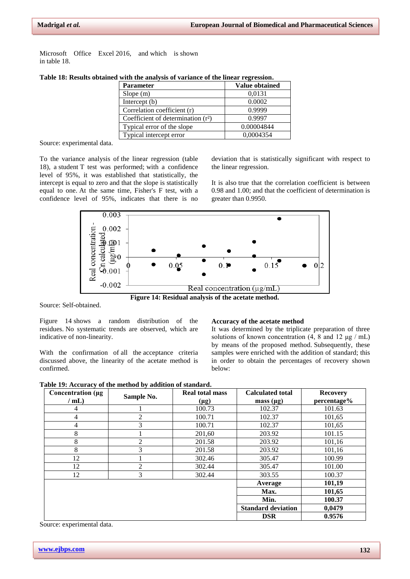Microsoft Office Excel 2016, and which is shown in table 18.

| <b>Parameter</b>                     | <b>Value obtained</b> |
|--------------------------------------|-----------------------|
| Slope $(m)$                          | 0.0131                |
| Intercept (b)                        | 0.0002                |
| Correlation coefficient (r)          | 0.9999                |
| Coefficient of determination $(r^2)$ | 0.9997                |
| Typical error of the slope           | 0.00004844            |
| Typical intercept error              | 0.0004354             |

**Table 18: Results obtained with the analysis of variance of the linear regression.**

Source: experimental data.

To the variance analysis of the linear regression (table 18), a student T test was performed; with a confidence level of 95%, it was established that statistically, the intercept is equal to zero and that the slope is statistically equal to one. At the same time, Fisher's F test, with a confidence level of 95%, indicates that there is no

deviation that is statistically significant with respect to the linear regression.

It is also true that the correlation coefficient is between 0.98 and 1.00; and that the coefficient of determination is greater than 0.9950.



**Figure 14: Residual analysis of the acetate method.**

Source: Self-obtained.

Figure 14 shows a random distribution of the residues. No systematic trends are observed, which are indicative of non-linearity.

With the confirmation of all the acceptance criteria discussed above, the linearity of the acetate method is confirmed.

#### **Accuracy of the acetate method**

It was determined by the triplicate preparation of three solutions of known concentration  $(4, 8 \text{ and } 12 \text{ µg} / \text{mL})$ by means of the proposed method. Subsequently, these samples were enriched with the addition of standard; this in order to obtain the percentages of recovery shown below:

|  |  |  |  | Table 19: Accuracy of the method by addition of standard. |
|--|--|--|--|-----------------------------------------------------------|
|  |  |  |  |                                                           |

| Concentration (µg | Sample No.     | <b>Real total mass</b> | <b>Calculated total</b>   | <b>Recovery</b> |
|-------------------|----------------|------------------------|---------------------------|-----------------|
| $/$ mL)           |                | $(\mu g)$              | mass $(\mu g)$            | percentage%     |
| 4                 |                | 100.73                 | 102.37                    | 101.63          |
| 4                 | $\overline{2}$ | 100.71                 | 102.37                    | 101,65          |
| 4                 | 3              | 100.71                 | 102.37                    | 101,65          |
| 8                 |                | 201,60                 | 203.92                    | 101.15          |
| 8                 | $\overline{2}$ | 201.58                 | 203.92                    | 101,16          |
| 8                 | 3              | 201.58                 | 203.92                    | 101,16          |
| 12                |                | 302.46                 | 305.47                    | 100.99          |
| 12                | $\overline{2}$ | 302.44                 | 305.47                    | 101.00          |
| 12                | 3              | 302.44                 | 303.55                    | 100.37          |
|                   |                |                        | Average                   | 101,19          |
|                   |                |                        | Max.                      | 101,65          |
|                   |                |                        | Min.                      | 100.37          |
|                   |                |                        | <b>Standard deviation</b> | 0,0479          |
|                   |                |                        | <b>DSR</b>                | 0.9576          |

Source: experimental data.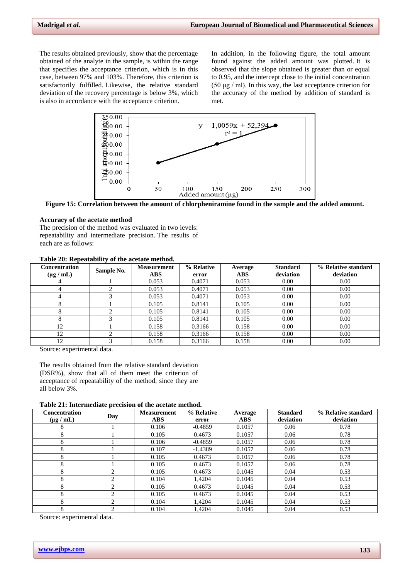The results obtained previously, show that the percentage obtained of the analyte in the sample, is within the range that specifies the acceptance criterion, which is in this case, between 97% and 103%. Therefore, this criterion is satisfactorily fulfilled. Likewise, the relative standard deviation of the recovery percentage is below 3%, which is also in accordance with the acceptance criterion.

In addition, in the following figure, the total amount found against the added amount was plotted. It is observed that the slope obtained is greater than or equal to 0.95, and the intercept close to the initial concentration (50 μg / ml). In this way, the last acceptance criterion for the accuracy of the method by addition of standard is met.



**Figure 15: Correlation between the amount of chlorpheniramine found in the sample and the added amount.**

#### **Accuracy of the acetate method**

The precision of the method was evaluated in two levels: repeatability and intermediate precision. The results of each are as follows:

# **Table 20: Repeatability of the acetate method.**

| Concentration<br>$(\mu g / mL)$ | $\sim$<br>Sample No. | <b>Measurement</b><br><b>ABS</b> | % Relative<br>error | Average<br><b>ABS</b> | <b>Standard</b><br>deviation | % Relative standard<br>deviation |
|---------------------------------|----------------------|----------------------------------|---------------------|-----------------------|------------------------------|----------------------------------|
| 4                               |                      | 0.053                            | 0.4071              | 0.053                 | 0.00                         | 0.00                             |
| 4                               |                      | 0.053                            | 0.4071              | 0.053                 | 0.00                         | 0.00                             |
|                                 |                      | 0.053                            | 0.4071              | 0.053                 | 0.00                         | 0.00                             |
| 8                               |                      | 0.105                            | 0.8141              | 0.105                 | 0.00                         | 0.00                             |
|                                 |                      | 0.105                            | 0.8141              | 0.105                 | 0.00                         | 0.00                             |
|                                 |                      | 0.105                            | 0.8141              | 0.105                 | 0.00                         | 0.00                             |
| 12                              |                      | 0.158                            | 0.3166              | 0.158                 | 0.00                         | 0.00                             |
| 12                              |                      | 0.158                            | 0.3166              | 0.158                 | 0.00                         | 0.00                             |
| 12                              |                      | 0.158                            | 0.3166              | 0.158                 | 0.00                         | 0.00                             |

Source: experimental data.

The results obtained from the relative standard deviation (DSR%), show that all of them meet the criterion of acceptance of repeatability of the method, since they are all below 3%.

**Table 21: Intermediate precision of the acetate method.**

| <b>Concentration</b><br>$(\mu g / mL)$ | Day | <b>Measurement</b><br><b>ABS</b> | % Relative<br>error | Average<br><b>ABS</b> | <b>Standard</b><br>deviation | % Relative standard<br>deviation |
|----------------------------------------|-----|----------------------------------|---------------------|-----------------------|------------------------------|----------------------------------|
| 8                                      |     | 0.106                            | $-0.4859$           | 0.1057                | 0.06                         | 0.78                             |
| 8                                      |     | 0.105                            | 0.4673              | 0.1057                | 0.06                         | 0.78                             |
| 8                                      |     | 0.106                            | $-0.4859$           | 0.1057                | 0.06                         | 0.78                             |
| 8                                      |     | 0.107                            | $-1,4389$           | 0.1057                | 0.06                         | 0.78                             |
| 8                                      |     | 0.105                            | 0.4673              | 0.1057                | 0.06                         | 0.78                             |
| 8                                      |     | 0.105                            | 0.4673              | 0.1057                | 0.06                         | 0.78                             |
| 8                                      | ◠   | 0.105                            | 0.4673              | 0.1045                | 0.04                         | 0.53                             |
| 8                                      | ◠   | 0.104                            | 1.4204              | 0.1045                | 0.04                         | 0.53                             |
| 8                                      | ↑   | 0.105                            | 0.4673              | 0.1045                | 0.04                         | 0.53                             |
| 8                                      | ◠   | 0.105                            | 0.4673              | 0.1045                | 0.04                         | 0.53                             |
| 8                                      | ◠   | 0.104                            | 1,4204              | 0.1045                | 0.04                         | 0.53                             |
| 8                                      | ◠   | 0.104                            | 1.4204              | 0.1045                | 0.04                         | 0.53                             |

Source: experimental data.